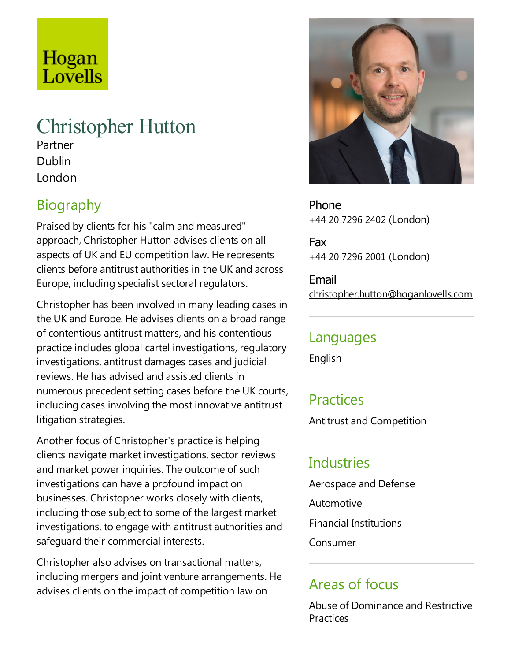# Hogan Lovells

## Christopher Hutton

Partner Dublin London

### Biography

Praised by clients for his "calm and measured" approach, Christopher Hutton advises clients on all aspects of UK and EU competition law. Herepresents clients before antitrust authorities in the UK and across Europe, including specialist sectoral regulators.

Christopher has been involved in many leading cases in the UK and Europe. He advises clients on a broad range of contentious antitrust matters,and his contentious practice includes global cartel investigations, regulatory investigations, antitrust damages cases and judicial reviews. He has advised and assisted clients in numerous precedent setting cases before the UK courts, including cases involving the most innovative antitrust litigation strategies.

Another focus of Christopher's practice is helping clients navigate market investigations, sector reviews and market power inquiries.The outcome of such investigations can have a profound impact on businesses. Christopher works closely with clients, including those subject to some of the largest market investigations, to engage with antitrust authorities and safeguard their commercial interests.

Christopher also advises on transactional matters, including mergers and joint venture arrangements. He advises clients on the impact of competition law on



Phone +44 20 7296 2402 (London)

Fax +44 20 7296 2001 (London)

Email christopher.hutton@hoganlovells.com

#### Languages

English

#### **Practices**

Antitrust and Competition

#### Industries

Aerospace and Defense Automotive Financial Institutions Consumer

#### Areas of focus

Abuse of Dominance and Restrictive Practices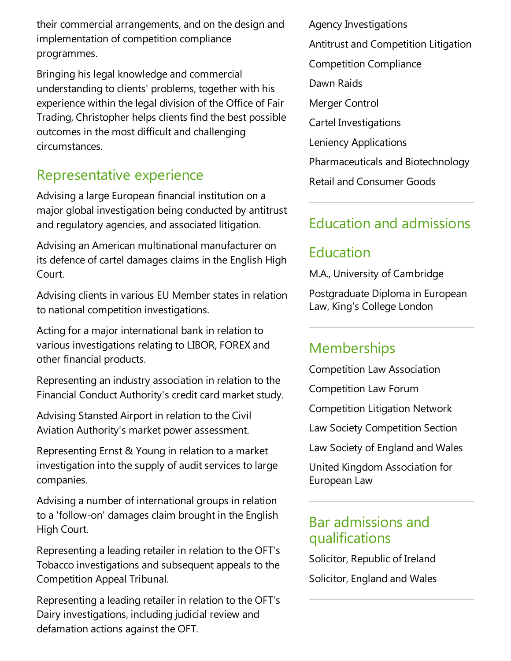their commercial arrangements, and on the design and implementation of competition compliance programmes.

Bringing his legal knowledge and commercial understanding to clients' problems, together with his experience within the legal division of the Office of Fair Trading, Christopher helps clients find the best possible outcomes in the most difficult and challenging circumstances.

#### Representative experience

Advising a large European financial institution on a major global investigation being conducted by antitrust and regulatory agencies, and associated litigation.

Advising an American multinational manufacturer on its defence of cartel damages claims in the English High Court.

Advising clients in various EU Member states in relation to national competition investigations.

Acting for a major international bank in relation to various investigations relating to LIBOR, FOREX and other financial products.

Representing an industry association in relation to the Financial Conduct Authority's credit card market study.

Advising Stansted Airport in relation to the Civil Aviation Authority's market power assessment.

Representing Ernst & Young in relation to a market investigation into the supply of audit services to large companies.

Advising a number of international groups in relation to a 'follow-on' damages claim brought in the English High Court.

Representing aleading retailer in relation to the OFT's Tobacco investigations and subsequent appeals to the Competition Appeal Tribunal.

Representing aleading retailer in relation to the OFT's Dairy investigations, including judicial review and defamation actions against the OFT.

Agency Investigations Antitrust and Competition Litigation Competition Compliance Dawn Raids Merger Control Cartel Investigations Leniency Applications Pharmaceuticals and Biotechnology

#### Education and admissions

#### Education

M.A., University of Cambridge

Retail and Consumer Goods

Postgraduate Diploma in European Law, King's College London

#### **Memberships**

Competition Law Association

Competition Law Forum

Competition Litigation Network

Law Society Competition Section

Law Society of England and Wales

United Kingdom Association for European Law

#### Bar admissions and qualifications

Solicitor, Republic of Ireland Solicitor, England and Wales